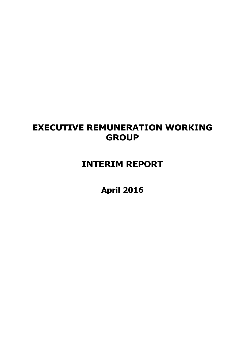# **EXECUTIVE REMUNERATION WORKING GROUP**

# **INTERIM REPORT**

**April 2016**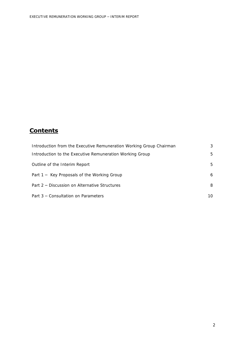# **Contents**

| Introduction from the Executive Remuneration Working Group Chairman | 3  |
|---------------------------------------------------------------------|----|
| Introduction to the Executive Remuneration Working Group            | 5  |
| Outline of the Interim Report                                       | 5  |
| Part 1 - Key Proposals of the Working Group                         | 6  |
| Part 2 – Discussion on Alternative Structures                       | 8  |
| Part 3 – Consultation on Parameters                                 | 10 |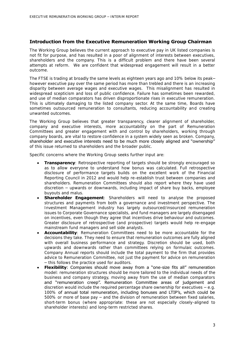# **Introduction from the Executive Remuneration Working Group Chairman**

The Working Group believes the current approach to executive pay in UK listed companies is not fit for purpose, and has resulted in a poor of alignment of interests between executives, shareholders and the company. This is a difficult problem and there have been several attempts at reform. We are confident that widespread engagement will result in a better outcome.

The FTSE is trading at broadly the same levels as eighteen years ago and 10% below its peak– however executive pay over the same period has more than trebled and there is an increasing disparity between average wages and executive wages. This misalignment has resulted in widespread scepticism and loss of public confidence. Failure has sometimes been rewarded, and use of median comparators has driven disproportionate rises in executive remuneration. This is ultimately damaging to the listed company sector. At the same time, Boards have sometimes outsourced remuneration to consultants, reducing accountability and creating unwanted outcomes.

The Working Group believes that greater transparency, clearer alignment of shareholder, company and executive interests, more accountability on the part of Remuneration Committees and greater engagement with and control by shareholders, working through company boards, are vital to restore confidence in a system widely seen as broken. Company, shareholder and executive interests need to be much more closely aligned and "ownership" of this issue returned to shareholders and the broader public.

Specific concerns where the Working Group seeks further input are:

- **Transparency**: Retrospective reporting of targets should be strongly encouraged so as to allow everyone to understand how bonus was calculated. Full retrospective disclosure of performance targets builds on the excellent work of the Financial Reporting Council in 2012 and would help re-establish trust between companies and shareholders. Remuneration Committees should also report where they have used discretion – upwards or downwards, including impact of share buy backs, employee buyouts and malus.
- **Shareholder Engagement**: Shareholders will need to analyse the proposed structures and payments from both a governance and investment perspective. The Investment Management industry has largely outsourced/insourced remuneration issues to Corporate Governance specialists, and fund managers are largely disengaged on incentives, even though they agree that incentives drive behaviour and outcomes. Greater disclosure of retrospective (and prospective) targets would help re-engage mainstream fund managers and sell side analysts.
- **Accountability**: Remuneration Committees need to be more accountable for the decisions they take. They need to ensure that remuneration outcomes are fully aligned with overall business performance and strategy. Discretion should be used, both upwards and downwards rather than committees relying on formulaic outcomes. Company Annual reports should include the total payment to the firm that provides advice to Remuneration Committee, not just the payment for advice on remuneration – this follows the practice used for auditors.
- **Flexibility:** Companies should move away from a "one-size fits all" remuneration model: remuneration structures should be more tailored to the individual needs of the business and company strategy, moving away from the use of median comparators and "remuneration creep". Remuneration Committee areas of judgement and discretion would include the required percentage share ownership for executives  $-e.g.$ 100% of annual total remuneration, including bonuses and LTIP's, which could be 500% or more of base pay – and the division of remuneration between fixed salaries, short-term bonus (where appropriate: these are not especially closely-aligned to shareholder interests) and long-term restricted shares.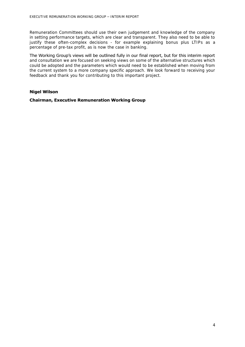Remuneration Committees should use their own judgement and knowledge of the company in setting performance targets, which are clear and transparent. They also need to be able to justify these often-complex decisions - for example explaining bonus plus LTIPs as a percentage of pre-tax profit, as is now the case in banking.

The Working Group's views will be outlined fully in our final report, but for this interim report and consultation we are focused on seeking views on some of the alternative structures which could be adopted and the parameters which would need to be established when moving from the current system to a more company specific approach. We look forward to receiving your feedback and thank you for contributing to this important project.

## **Nigel Wilson**

## **Chairman, Executive Remuneration Working Group**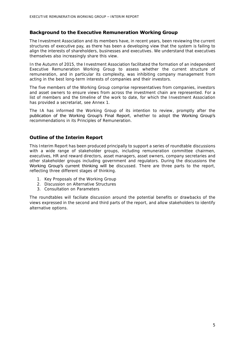## **Background to the Executive Remuneration Working Group**

The Investment Association and its members have, in recent years, been reviewing the current structures of executive pay, as there has been a developing view that the system is failing to align the interests of shareholders, businesses and executives. We understand that executives themselves also increasingly share this view.

In the Autumn of 2015, the Investment Association facilitated the formation of an independent Executive Remuneration Working Group to assess whether the current structure of remuneration, and in particular its complexity, was inhibiting company management from acting in the best long-term interests of companies and their investors.

The five members of the Working Group comprise representatives from companies, investors and asset owners to ensure views from across the investment chain are represented. For a list of members and the timeline of the work to date, for which the Investment Association has provided a secretariat, see Annex 1.

The IA has informed the Working Group of its intention to review, promptly after the publication of the Working Group's Final Report, whether to adopt the Working Group's recommendations in its Principles of Remuneration.

# **Outline of the Interim Report**

This Interim Report has been produced principally to support a series of roundtable discussions with a wide range of stakeholder groups, including remuneration committee chairmen, executives, HR and reward directors, asset managers, asset owners, company secretaries and other stakeholder groups including government and regulators. During the discussions the Working Group's current thinking will be discussed. There are three parts to the report, reflecting three different stages of thinking.

- 1. Key Proposals of the Working Group
- 2. Discussion on Alternative Structures
- 3. Consultation on Parameters

The roundtables will faciliate discussion around the potential benefits or drawbacks of the views expressed in the second and third parts of the report, and allow stakeholders to identify alternative options.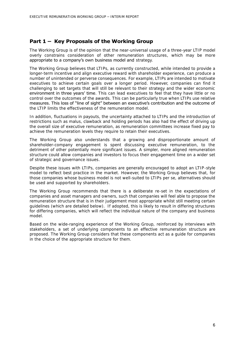# **Part 1 – Key Proposals of the Working Group**

The Working Group is of the opinion that the near-universal usage of a three-year LTIP model overly constrains consideration of other remuneration structures, which may be more appropriate to a company's own business model and strategy.

The Working Group believes that LTIPs, as currently constructed, while intended to provide a longer-term incentive and align executive reward with shareholder experience, can produce a number of unintended or perverse consequences. For example, LTIPs are intended to motivate executives to achieve certain goals over a longer period. However, companies can find it challenging to set targets that will still be relevant to their strategy and the wider economic environment in three years' time. This can lead executives to feel that they have little or no control over the outcomes of the awards. This can be particularly true when LTIPs use relative measures. This loss of "line of sight" between an executive's contribution and the outcome of the LTIP limits the effectiveness of the remuneration model.

In addition, fluctuations in payouts, the uncertainty attached to LTIPs and the introduction of restrictions such as malus, clawback and holding periods has also had the effect of driving up the overall size of executive remuneration, as remuneration committees increase fixed pay to achieve the remuneration levels they require to retain their executives.

The Working Group also understands that a growing and disproportionate amount of shareholder-company engagement is spent discussing executive remuneration, to the detriment of other potentially more significant issues. A simpler, more aligned remuneration structure could allow companies and investors to focus their engagement time on a wider set of strategic and governance issues.

Despite these issues with LTIPs, companies are generally encouraged to adopt an LTIP-style model to reflect best practice in the market. However, the Working Group believes that, for those companies whose business model is not well-suited to LTIPs per se, alternatives should be used and supported by shareholders.

The Working Group recommends that there is a deliberate re-set in the expectations of companies and asset managers and owners, such that companies will feel able to propose the remuneration structure that is in their judgement most appropriate whilst still meeting certain guidelines (which are detailed below). If adopted, this is likely to result in differing structures for differing companies, which will reflect the individual nature of the company and business model.

Based on the wide-ranging experience of the Working Group, reinforced by interviews with stakeholders, a set of underlying components to an effective remuneration structure are proposed. The Working Group considers that these components act as a guide for companies in the choice of the appropriate structure for them.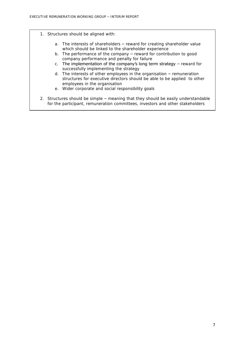- 1. Structures should be aligned with:
	- a. The interests of shareholders reward for creating shareholder value which should be linked to the shareholder experience
	- b. The performance of the company reward for contribution to good company performance and penalty for failure
	- c. The implementation of the company's long term strategy  $-$  reward for successfully implementing the strategy
	- d. The interests of other employees in the organisation remuneration structures for executive directors should be able to be applied to other employees in the organisation
	- e. Wider corporate and social responsibility goals
- 2. Structures should be simple meaning that they should be easily understandable for the participant, remuneration committees, investors and other stakeholders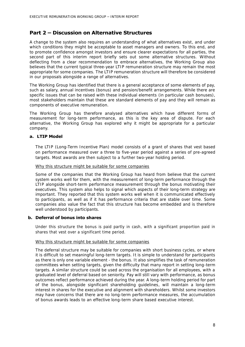# **Part 2 – Discussion on Alternative Structures**

A change to the system also requires an understanding of what alternatives exist, and under which conditions they might be acceptable to asset managers and owners. To this end, and to promote confidence amongst investors and ensure clearer expectations for all parties, the second part of this interim report briefly sets out some alternative structures. Without deflecting from a clear recommendation to embrace alternatives, the Working Group also believes that the current typical three-year LTIP remuneration structure may remain the most appropriate for some companies. The LTIP remuneration structure will therefore be considered in our proposals alongside a range of alternatives.

The Working Group has identified that there is a general acceptance of some elements of pay, such as salary, annual incentives (bonus) and pension/benefit arrangements. While there are specific issues that can be raised with these individual elements (in particular cash bonuses), most stakeholders maintain that these are standard elements of pay and they will remain as components of executive remuneration.

The Working Group has therefore analysed alternatives which have different forms of measurement for long-term performance, as this is the key area of dispute. For each alternative, the Working Group has explored why it might be appropriate for a particular company.

## **a. LTIP Model**

The LTIP (Long-Term Incentive Plan) model consists of a grant of shares that vest based on performance measured over a three to five-year period against a series of pre-agreed targets. Most awards are then subject to a further two-year holding period.

#### Why this structure might be suitable for some companies

Some of the companies that the Working Group has heard from believe that the current system works well for them, with the measurement of long-term performance through the LTIP alongside short-term performance measurement through the bonus motivating their executives. This system also helps to signal which aspects of their long-term strategy are important. They reported that this system works well when it is communicated effectively to participants, as well as if it has performance criteria that are stable over time. Some companies also value the fact that this structure has become embedded and is therefore well understood by participants.

#### **b. Deferral of bonus into shares**

Under this structure the bonus is paid partly in cash, with a significant proportion paid in shares that vest over a significant time period.

#### Why this structure might be suitable for some companies

The deferral structure may be suitable for companies with short business cycles, or where it is difficult to set meaningful long-term targets. It is simple to understand for participants as there is only one variable element - the bonus. It also simplifies the task of remuneration committees when setting targets, given the difficulty that many report in setting long-term targets. A similar structure could be used across the organisation for all employees, with a graduated level of deferral based on seniority. Pay will still vary with performance, as bonus outcomes reflect performance achieved during the year. A long-term holding period for part of the bonus, alongside significant shareholding guidelines, will maintain a long-term interest in shares for the executive and alignment with shareholders. Whilst some investors may have concerns that there are no long-term performance measures, the accumulation of bonus awards leads to an effective long-term share based executive interest.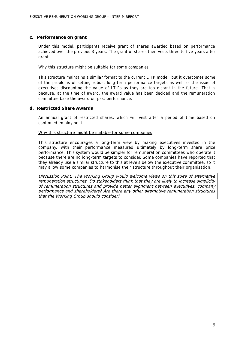#### **c. Performance on grant**

Under this model, participants receive grant of shares awarded based on performance achieved over the previous 3 years. The grant of shares then vests three to five years after grant.

#### Why this structure might be suitable for some companies

This structure maintains a similar format to the current LTIP model, but it overcomes some of the problems of setting robust long-term performance targets as well as the issue of executives discounting the value of LTIPs as they are too distant in the future. That is because, at the time of award, the award value has been decided and the remuneration committee base the award on past performance.

#### **d. Restricted Share Awards**

An annual grant of restricted shares, which will vest after a period of time based on continued employment.

#### Why this structure might be suitable for some companies

This structure encourages a long-term view by making executives invested in the company, with their performance measured ultimately by long-term share price performance. This system would be simpler for remuneration committees who operate it because there are no long-term targets to consider. Some companies have reported that they already use a similar structure to this at levels below the executive committee, so it may allow some companies to harmonise their structure throughout their organisation.

Discussion Point: The Working Group would welcome views on this suite of alternative remuneration structures. Do stakeholders think that they are likely to increase simplicity of remuneration structures and provide better alignment between executives, company performance and shareholders? Are there any other alternative remuneration structures that the Working Group should consider?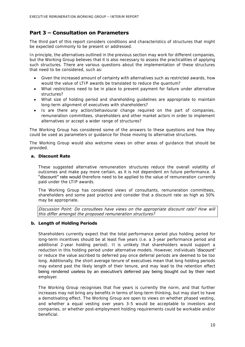# **Part 3 – Consultation on Parameters**

The third part of this report considers conditions and characteristics of structures that might be expected commonly to be present or addressed.

In principle, the alternatives outlined in the previous section may work for different companies, but the Working Group believes that it is also necessary to assess the practicalities of applying such structures. There are various questions about the implementation of these structures that need to be considered, such as:

- Given the increased amount of certainty with alternatives such as restricted awards, how would the value of LTIP awards be translated to reduce the quantum?
- What restrictions need to be in place to prevent payment for failure under alternative structures?
- What size of holding period and shareholding guidelines are appropriate to maintain long-term alignment of executives with shareholders?
- Is are there any action/behavioural change required on the part of companies, remuneration committees, shareholders and other market actors in order to implement alternatives or accept a wider range of structures?

The Working Group has considered some of the answers to these questions and how they could be used as parameters or guidance for those moving to alternative structures.

The Working Group would also welcome views on other areas of guidance that should be provided.

## **a. Discount Rate**

These suggested alternative remuneration structures reduce the overall volatility of outcomes and make pay more certain, as it is not dependent on future performance. A "discount" rate would therefore need to be applied to the value of remuneration currently paid under the LTIP awards.

The Working Group has considered views of consultants, remuneration committees, shareholders and some past practice and consider that a discount rate as high as 50% may be appropriate.

Discussion Point: Do consultees have views on the appropriate discount rate? How will this differ amongst the proposed remuneration structures?

# **b. Length of Holding Periods**

Shareholders currently expect that the total performance period plus holding period for long-term incentives should be at least five years (i.e. a 3-year performance period and additional 2-year holding period). It is unlikely that shareholders would support a reduction in this holding period under alternative models. However, individuals 'discount' or reduce the value ascribed to deferred pay once deferral periods are deemed to be too long. Additionally, the short average tenure of executives mean that long holding periods may extend past the likely length of their tenure, and may lead to the retention effect being rendered useless by an executive's deferred pay being bought out by their next employer.

The Working Group recognises that five years is currently the norm, and that further increases may not bring any benefits in terms of long-term thinking, but may start to have a demotivating effect. The Working Group are open to views on whether phased vesting, and whether a equal vesting over years 3-5 would be acceptable to investors and companies, or whether post-employment holding requirements could be workable and/or beneficial.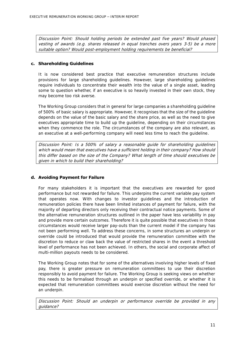Discussion Point: Should holding periods be extended past five years? Would phased vesting of awards (e.g. shares released in equal tranches overs years 3-5) be a more suitable option? Would post-employment holding requirements be beneficial?

## **c. Shareholding Guidelines**

It is now considered best practice that executive remuneration structures include provisions for large shareholding guidelines. However, large shareholding guidelines require individuals to concentrate their wealth into the value of a single asset, leading some to question whether, if an executive is so heavily invested in their own stock, they may become too risk averse.

The Working Group considers that in general for large companies a shareholding guideline of 500% of basic salary is appropriate. However, it recognises that the size of the guideline depends on the value of the basic salary and the share price, as well as the need to give executives appropriate time to build up the guideline, depending on their circumstances when they commence the role. The circumstances of the company are also relevant, as an executive at a well-performing company will need less time to reach the guideline.

Discussion Point: Is a 500% of salary a reasonable guide for shareholding guidelines which would mean that executives have a sufficient holding in their company? How should this differ based on the size of the Company? What length of time should executives be given in which to build their shareholding?

# **d. Avoiding Payment for Failure**

For many stakeholders it is important that the executives are rewarded for good performance but not rewarded for failure. This underpins the current variable pay system that operates now. With changes to investor guidelines and the introduction of remuneration policies there have been limited instances of payment for failure, with the majority of departing directors only receiving their contractual notice payments. Some of the alternative remuneration structures outlined in the paper have less variability in pay and provide more certain outcomes. Therefore it is quite possible that executives in those circumstances would receive larger pay-outs than the current model if the company has not been performing well. To address these concerns, in some structures an underpin or override could be introduced that would provide the remuneration committee with the discretion to reduce or claw back the value of restricted shares in the event a threshold level of performance has not been achieved. In others, the social and corporate affect of multi-million payouts needs to be considered.

The Working Group notes that for some of the alternatives involving higher levels of fixed pay, there is greater pressure on remuneration committees to use their discretion responsibly to avoid payment for failure. The Working Group is seeking views on whether this needs to be formalised through an underpin or specified override, or whether it is expected that remuneration committees would exercise discretion without the need for an underpin.

Discussion Point: Should an underpin or performance override be provided in any guidance?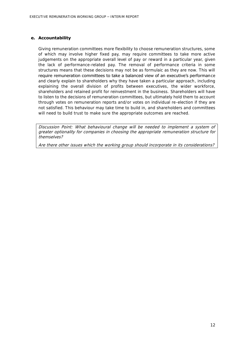#### **e. Accountability**

Giving remuneration committees more flexibility to choose remuneration structures, some of which may involve higher fixed pay, may require committees to take more active judgements on the appropriate overall level of pay or reward in a particular year, given the lack of performance-related pay. The removal of performance criteria in some structures means that these decisions may not be as formulaic as they are now. This will require remuneration committees to take a balanced view of an executive's performance and clearly explain to shareholders why they have taken a particular approach, including explaining the overall division of profits between executives, the wider workforce, shareholders and retained profit for reinvestment in the business. Shareholders will have to listen to the decisions of remuneration committees, but ultimately hold them to account through votes on remuneration reports and/or votes on individual re-election if they are not satisfied. This behaviour may take time to build in, and shareholders and committees will need to build trust to make sure the appropriate outcomes are reached.

Discussion Point: What behavioural change will be needed to implement a system of greater optionality for companies in choosing the appropriate remuneration structure for themselves?

Are there other issues which the working group should incorporate in its considerations?